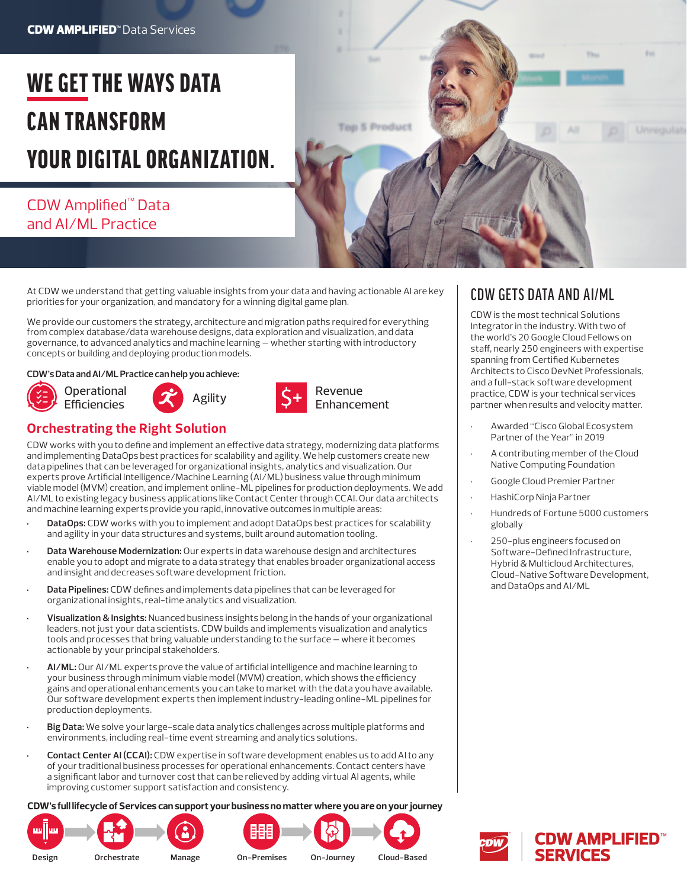# WE GET THE WAYS DATA CAN TRANSFORM YOUR DIGITAL ORGANIZATION.

## CDW Amplified™ Data and AI/ML Practice



At CDW we understand that getting valuable insights from your data and having actionable AI are key priorities for your organization, and mandatory for a winning digital game plan.

We provide our customers the strategy, architecture and migration paths required for everything from complex database/data warehouse designs, data exploration and visualization, and data governance, to advanced analytics and machine learning — whether starting with introductory concepts or building and deploying production models.

#### **CDW's Data and AI/ML Practice can help you achieve:**









### **Orchestrating the Right Solution**

CDW works with you to define and implement an effective data strategy, modernizing data platforms and implementing DataOps best practices for scalability and agility. We help customers create new data pipelines that can be leveraged for organizational insights, analytics and visualization. Our experts prove Artificial Intelligence/Machine Learning (AI/ML) business value through minimum viable model (MVM) creation, and implement online-ML pipelines for production deployments. We add AI/ML to existing legacy business applications like Contact Center through CCAI. Our data architects and machine learning experts provide you rapid, innovative outcomes in multiple areas:

- **• DataOps:** CDW works with you to implement and adopt DataOps best practices for scalability and agility in your data structures and systems, built around automation tooling.
- **• Data Warehouse Modernization:** Our experts in data warehouse design and architectures enable you to adopt and migrate to a data strategy that enables broader organizational access and insight and decreases software development friction.
- **• Data Pipelines:** CDW defines and implements data pipelines that can be leveraged for organizational insights, real-time analytics and visualization.
- **• Visualization & Insights:** Nuanced business insights belong in the hands of your organizational leaders, not just your data scientists. CDW builds and implements visualization and analytics tools and processes that bring valuable understanding to the surface — where it becomes actionable by your principal stakeholders.
- **• AI/ML:** Our AI/ML experts prove the value of artificial intelligence and machine learning to your business through minimum viable model (MVM) creation, which shows the efficiency gains and operational enhancements you can take to market with the data you have available. Our software development experts then implement industry-leading online-ML pipelines for production deployments.
- **• Big Data:** We solve your large-scale data analytics challenges across multiple platforms and environments, including real-time event streaming and analytics solutions.
- **• Contact Center AI (CCAI):** CDW expertise in software development enables us to add AI to any of your traditional business processes for operational enhancements. Contact centers have a significant labor and turnover cost that can be relieved by adding virtual AI agents, while improving customer support satisfaction and consistency.

**CDW's full lifecycle of Services can support your business no matter where you are on your journey** 









CDW GETS DATA AND AI/ML

CDW is the most technical Solutions Integrator in the industry. With two of the world's 20 Google Cloud Fellows on staff, nearly 250 engineers with expertise spanning from Certified Kubernetes Architects to Cisco DevNet Professionals, and a full-stack software development practice, CDW is your technical services partner when results and velocity matter.

- Awarded "Cisco Global Ecosystem Partner of the Year" in 2019
- A contributing member of the Cloud Native Computing Foundation
- Google Cloud Premier Partner
- HashiCorp Ninja Partner
- Hundreds of Fortune 5000 customers globally
- 250-plus engineers focused on Software-Defined Infrastructure, Hybrid & Multicloud Architectures, Cloud-Native Software Development, and DataOps and AI/ML